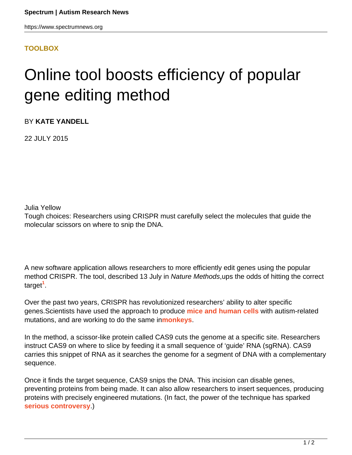## **[TOOLBOX](HTTPS://WWW.SPECTRUMNEWS.ORG/NEWS/TOOLBOX/)**

## Online tool boosts efficiency of popular gene editing method

BY **KATE YANDELL**

22 JULY 2015

Julia Yellow

Tough choices: Researchers using CRISPR must carefully select the molecules that guide the molecular scissors on where to snip the DNA.

A new software application allows researchers to more efficiently edit genes using the popular method CRISPR. The tool, described 13 July in Nature Methods, ups the odds of hitting the correct target**<sup>1</sup>** .

Over the past two years, CRISPR has revolutionized researchers' ability to alter specific genes.Scientists have used the approach to produce **[mice and human cells](https://www.spectrumnews.org/news/2015/gene-editing-tool-hews-shortcut-to-autism-mouse-models)** with autism-related mutations, and are working to do the same in**[monkeys](http://www.technologyreview.com/featuredstory/535661/engineering-the-perfect-baby/)**.

In the method, a scissor-like protein called CAS9 cuts the genome at a specific site. Researchers instruct CAS9 on where to slice by feeding it a small sequence of 'guide' RNA (sgRNA). CAS9 carries this snippet of RNA as it searches the genome for a segment of DNA with a complementary sequence.

Once it finds the target sequence, CAS9 snips the DNA. This incision can disable genes, preventing proteins from being made. It can also allow researchers to insert sequences, producing proteins with precisely engineered mutations. (In fact, the power of the technique has sparked **[serious controversy](https://www.spectrumnews.org/spotted/2015/spotted-gene-editing-ethics-treatment-turmoil?searchterm=CRISPR)**.)